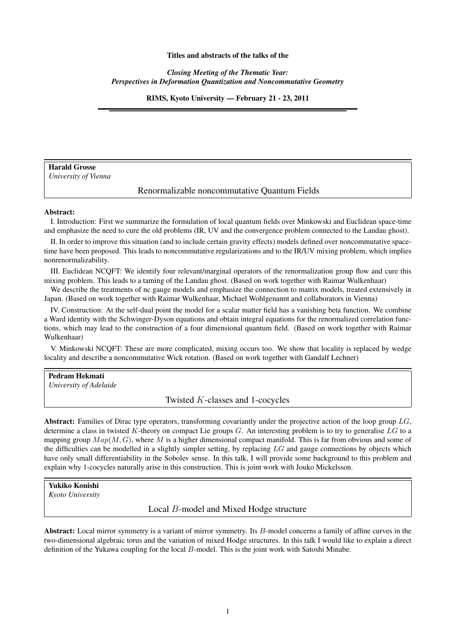#### Titles and abstracts of the talks of the

*Closing Meeting of the Thematic Year: Perspectives in Deformation Quantization and Noncommutative Geometry*

RIMS, Kyoto University — February 21 - 23, 2011

# Harald Grosse

*University of Vienna*

# Renormalizable noncommutative Quantum Fields

#### Abstract:

I. Introduction: First we summarize the formulation of local quantum fields over Minkowski and Euclidean space-time and emphasize the need to cure the old problems (IR, UV and the convergence problem connected to the Landau ghost).

II. In order to improve this situation (and to include certain gravity effects) models defined over noncommutative spacetime have been proposed. This leads to noncommutative regularizations and to the IR/UV mixing problem, which implies nonrenormalizability.

III. Euclidean NCQFT: We identify four relevant/marginal operators of the renormalization group flow and cure this mixing problem. This leads to a taming of the Landau ghost. (Based on work together with Raimar Wulkenhaar)

We describe the treatments of nc gauge models and emphasize the connection to matrix models, treated extensively in Japan. (Based on work together with Raimar Wulkenhaar, Michael Wohlgenannt and collaborators in Vienna)

IV. Construction: At the self-dual point the model for a scalar matter field has a vanishing beta function. We combine a Ward identity with the Schwinger-Dyson equations and obtain integral equations for the renormalized correlation functions, which may lead to the construction of a four dimensional quantum field. (Based on work together with Raimar Wulkenhaar)

V. Minkowski NCQFT: These are more complicated, mixing occurs too. We show that locality is replaced by wedge locality and describe a noncommutative Wick rotation. (Based on work together with Gandalf Lechner)

### Pedram Hekmati

*University of Adelaide*

Twisted K-classes and 1-cocycles

Abstract: Families of Dirac type operators, transforming covariantly under the projective action of the loop group  $LG$ , determine a class in twisted K-theory on compact Lie groups  $G$ . An interesting problem is to try to generalise  $LG$  to a mapping group  $Map(M, G)$ , where M is a higher dimensional compact manifold. This is far from obvious and some of the difficulties can be modelled in a slightly simpler setting, by replacing  $LG$  and gauge connections by objects which have only small differentiability in the Sobolev sense. In this talk, I will provide some background to this problem and explain why 1-cocycles naturally arise in this construction. This is joint work with Jouko Mickelsson.

Yukiko Konishi *Kyoto University*

Local B-model and Mixed Hodge structure

Abstract: Local mirror symmetry is a variant of mirror symmetry. Its B-model concerns a family of affine curves in the two-dimensional algebraic torus and the variation of mixed Hodge structures. In this talk I would like to explain a direct definition of the Yukawa coupling for the local B-model. This is the joint work with Satoshi Minabe.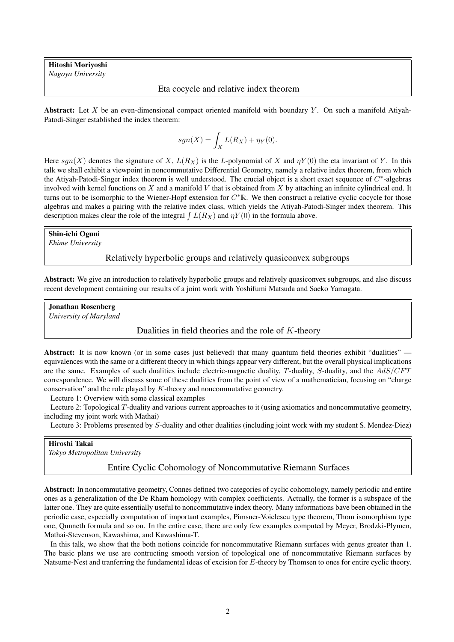Hitoshi Moriyoshi *Nagoya University*

### Eta cocycle and relative index theorem

**Abstract:** Let X be an even-dimensional compact oriented manifold with boundary Y. On such a manifold Atiyah-Patodi-Singer established the index theorem:

$$
sgn(X) = \int_X L(R_X) + \eta_Y(0).
$$

Here  $sgn(X)$  denotes the signature of X,  $L(R_X)$  is the L-polynomial of X and  $\eta Y(0)$  the eta invariant of Y. In this talk we shall exhibit a viewpoint in noncommutative Differential Geometry, namely a relative index theorem, from which the Atiyah-Patodi-Singer index theorem is well understood. The crucial object is a short exact sequence of  $C^*$ -algebras involved with kernel functions on  $X$  and a manifold  $V$  that is obtained from  $X$  by attaching an infinite cylindrical end. It turns out to be isomorphic to the Wiener-Hopf extension for  $C^* \mathbb{R}$ . We then construct a relative cyclic cocycle for those algebras and makes a pairing with the relative index class, which yields the Atiyah-Patodi-Singer index theorem. This description makes clear the role of the integral  $\int L(R_X)$  and  $\eta Y(0)$  in the formula above.

#### Shin-ichi Oguni

*Ehime University*

## Relatively hyperbolic groups and relatively quasiconvex subgroups

Abstract: We give an introduction to relatively hyperbolic groups and relatively quasiconvex subgroups, and also discuss recent development containing our results of a joint work with Yoshifumi Matsuda and Saeko Yamagata.

Jonathan Rosenberg

*University of Maryland*

### Dualities in field theories and the role of  $K$ -theory

Abstract: It is now known (or in some cases just believed) that many quantum field theories exhibit "dualities" equivalences with the same or a different theory in which things appear very different, but the overall physical implications are the same. Examples of such dualities include electric-magnetic duality, T-duality, S-duality, and the AdS/CFT correspondence. We will discuss some of these dualities from the point of view of a mathematician, focusing on "charge conservation" and the role played by K-theory and noncommutative geometry.

Lecture 1: Overview with some classical examples

Lecture 2: Topological T-duality and various current approaches to it (using axiomatics and noncommutative geometry, including my joint work with Mathai)

Lecture 3: Problems presented by S-duality and other dualities (including joint work with my student S. Mendez-Diez)

#### Hiroshi Takai

*Tokyo Metropolitan University*

#### Entire Cyclic Cohomology of Noncommutative Riemann Surfaces

Abstract: In noncommutative geometry, Connes defined two categories of cyclic cohomology, namely periodic and entire ones as a generalization of the De Rham homology with complex coefficients. Actually, the former is a subspace of the latter one. They are quite essentially useful to noncommutative index theory. Many informations bave been obtained in the periodic case, especially computation of important examples, Pimsner-Voiclescu type theorem, Thom isomorphism type one, Qunneth formula and so on. In the entire case, there are only few examples computed by Meyer, Brodzki-Plymen, Mathai-Stevenson, Kawashima, and Kawashima-T.

In this talk, we show that the both notions coincide for noncommutative Riemann surfaces with genus greater than 1. The basic plans we use are contructing smooth version of topological one of noncommutative Riemann surfaces by Natsume-Nest and tranferring the fundamental ideas of excision for  $E$ -theory by Thomsen to ones for entire cyclic theory.